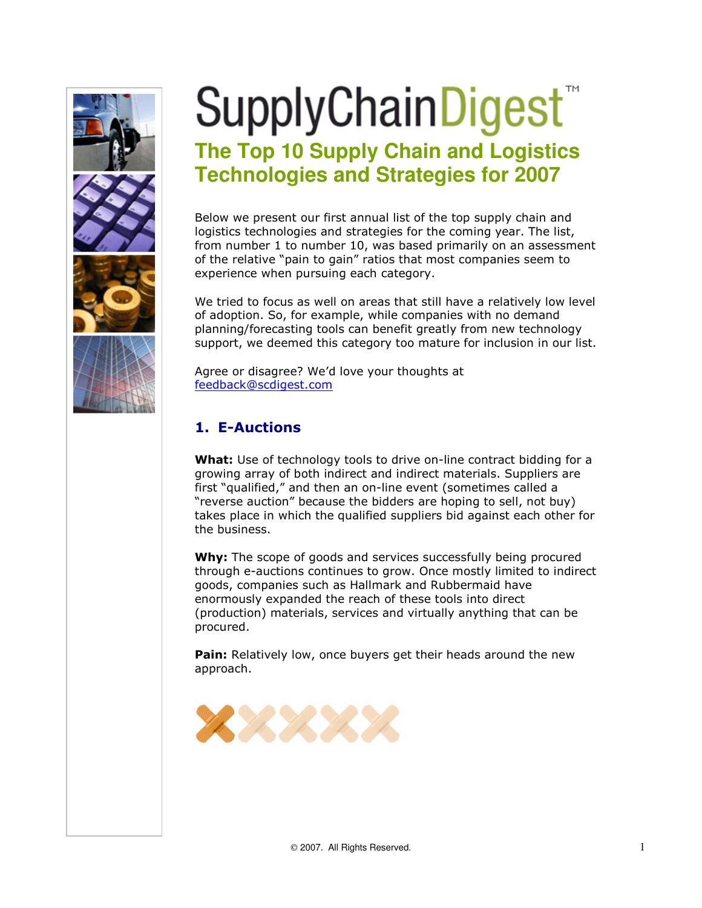

# SupplyChainDigest **The Top 10 Supply Chain and Logistics Technologies and Strategies for 2007**

Below we present our first annual list of the top supply chain and logistics technologies and strategies for the coming year. The list, from number 1 to number 10, was based primarily on an assessment of the relative "pain to gain" ratios that most companies seem to experience when pursuing each category.

We tried to focus as well on areas that still have a relatively low level of adoption. So, for example, while companies with no demand planning/forecasting tools can benefit greatly from new technology support, we deemed this category too mature for inclusion in our list.

Agree or disagree? We'd love your thoughts at feedback@scdigest.com

### 1. E-Auctions

What: Use of technology tools to drive on-line contract bidding for a growing array of both indirect and indirect materials. Suppliers are first "qualified," and then an on-line event (sometimes called a "reverse auction" because the bidders are hoping to sell, not buy) takes place in which the qualified suppliers bid against each other for the business.

Why: The scope of goods and services successfully being procured through e-auctions continues to grow. Once mostly limited to indirect goods, companies such as Hallmark and Rubbermaid have enormously expanded the reach of these tools into direct (production) materials, services and virtually anything that can be procured.

Pain: Relatively low, once buyers get their heads around the new approach.

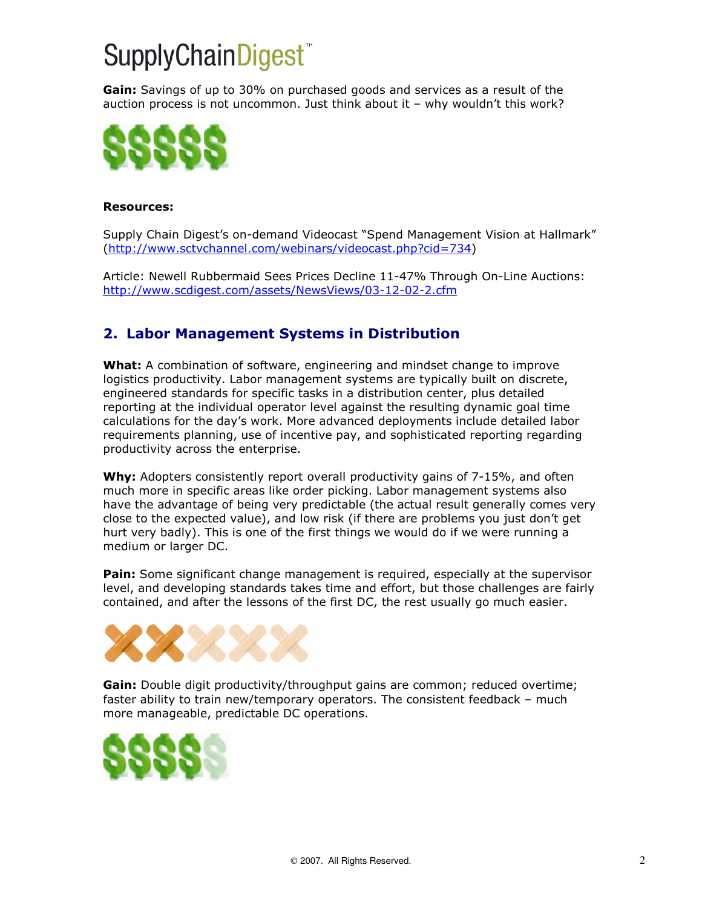Gain: Savings of up to 30% on purchased goods and services as a result of the auction process is not uncommon. Just think about it – why wouldn't this work?



#### Resources:

Supply Chain Digest's on-demand Videocast "Spend Management Vision at Hallmark" (http://www.sctvchannel.com/webinars/videocast.php?cid=734)

Article: Newell Rubbermaid Sees Prices Decline 11-47% Through On-Line Auctions: http://www.scdigest.com/assets/NewsViews/03-12-02-2.cfm

### 2. Labor Management Systems in Distribution

What: A combination of software, engineering and mindset change to improve logistics productivity. Labor management systems are typically built on discrete, engineered standards for specific tasks in a distribution center, plus detailed reporting at the individual operator level against the resulting dynamic goal time calculations for the day's work. More advanced deployments include detailed labor requirements planning, use of incentive pay, and sophisticated reporting regarding productivity across the enterprise.

Why: Adopters consistently report overall productivity gains of 7-15%, and often much more in specific areas like order picking. Labor management systems also have the advantage of being very predictable (the actual result generally comes very close to the expected value), and low risk (if there are problems you just don't get hurt very badly). This is one of the first things we would do if we were running a medium or larger DC.

**Pain:** Some significant change management is required, especially at the supervisor level, and developing standards takes time and effort, but those challenges are fairly contained, and after the lessons of the first DC, the rest usually go much easier.



Gain: Double digit productivity/throughput gains are common; reduced overtime; faster ability to train new/temporary operators. The consistent feedback – much more manageable, predictable DC operations.

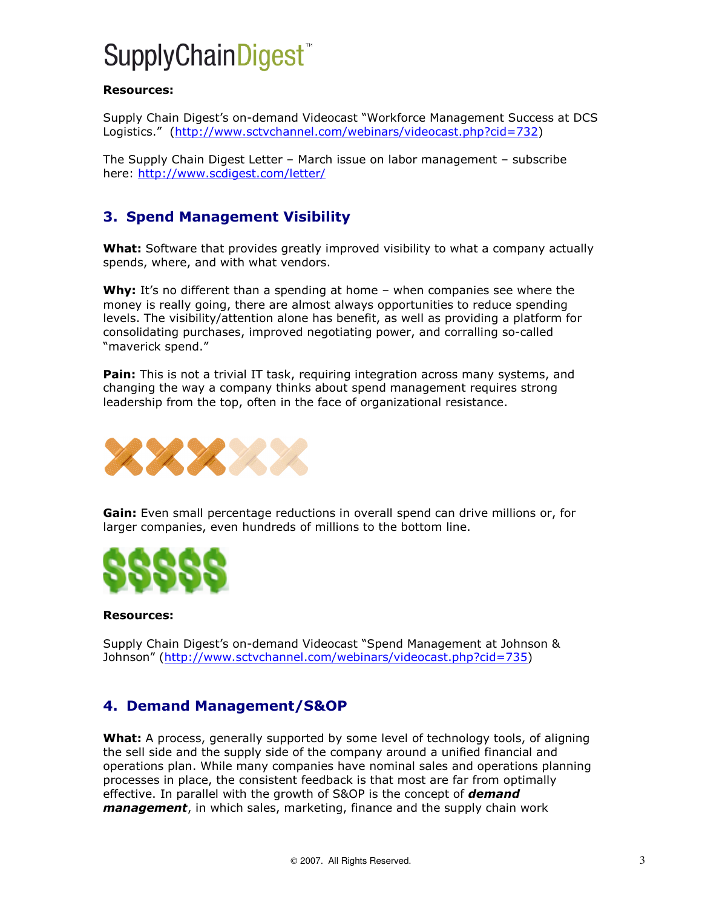#### Resources:

Supply Chain Digest's on-demand Videocast "Workforce Management Success at DCS Logistics." (http://www.sctvchannel.com/webinars/videocast.php?cid=732)

The Supply Chain Digest Letter – March issue on labor management – subscribe here: http://www.scdigest.com/letter/

### 3. Spend Management Visibility

What: Software that provides greatly improved visibility to what a company actually spends, where, and with what vendors.

Why: It's no different than a spending at home - when companies see where the money is really going, there are almost always opportunities to reduce spending levels. The visibility/attention alone has benefit, as well as providing a platform for consolidating purchases, improved negotiating power, and corralling so-called "maverick spend."

**Pain:** This is not a trivial IT task, requiring integration across many systems, and changing the way a company thinks about spend management requires strong leadership from the top, often in the face of organizational resistance.



Gain: Even small percentage reductions in overall spend can drive millions or, for larger companies, even hundreds of millions to the bottom line.



#### Resources:

Supply Chain Digest's on-demand Videocast "Spend Management at Johnson & Johnson" (http://www.sctvchannel.com/webinars/videocast.php?cid=735)

### 4. Demand Management/S&OP

What: A process, generally supported by some level of technology tools, of aligning the sell side and the supply side of the company around a unified financial and operations plan. While many companies have nominal sales and operations planning processes in place, the consistent feedback is that most are far from optimally effective. In parallel with the growth of S&OP is the concept of **demand** management, in which sales, marketing, finance and the supply chain work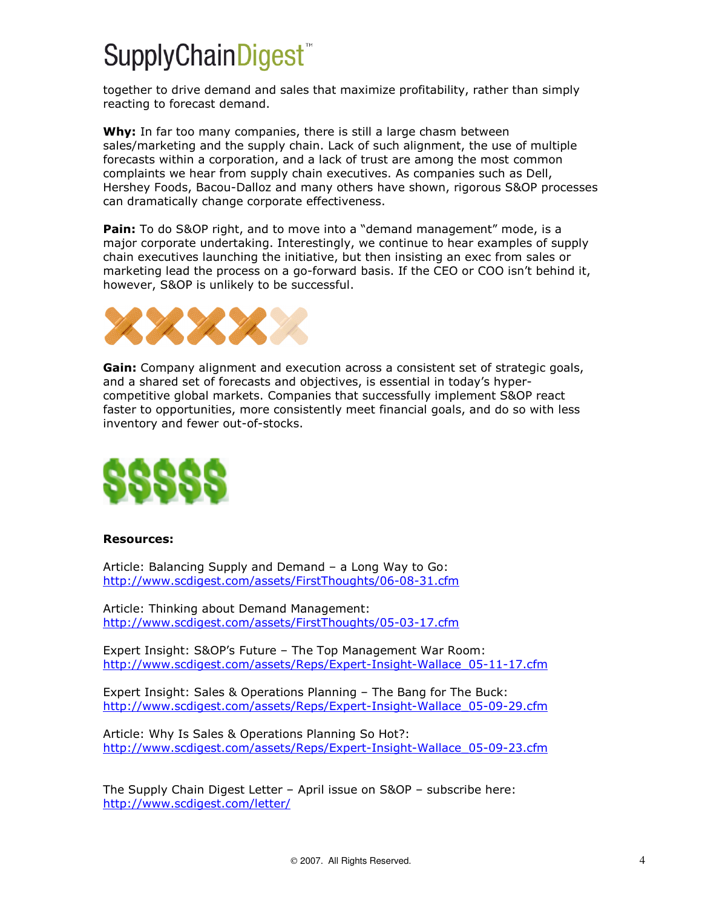together to drive demand and sales that maximize profitability, rather than simply reacting to forecast demand.

Why: In far too many companies, there is still a large chasm between sales/marketing and the supply chain. Lack of such alignment, the use of multiple forecasts within a corporation, and a lack of trust are among the most common complaints we hear from supply chain executives. As companies such as Dell, Hershey Foods, Bacou-Dalloz and many others have shown, rigorous S&OP processes can dramatically change corporate effectiveness.

**Pain:** To do S&OP right, and to move into a "demand management" mode, is a major corporate undertaking. Interestingly, we continue to hear examples of supply chain executives launching the initiative, but then insisting an exec from sales or marketing lead the process on a go-forward basis. If the CEO or COO isn't behind it, however, S&OP is unlikely to be successful.



Gain: Company alignment and execution across a consistent set of strategic goals, and a shared set of forecasts and objectives, is essential in today's hypercompetitive global markets. Companies that successfully implement S&OP react faster to opportunities, more consistently meet financial goals, and do so with less inventory and fewer out-of-stocks.



#### Resources:

Article: Balancing Supply and Demand – a Long Way to Go: http://www.scdigest.com/assets/FirstThoughts/06-08-31.cfm

Article: Thinking about Demand Management: http://www.scdigest.com/assets/FirstThoughts/05-03-17.cfm

Expert Insight: S&OP's Future – The Top Management War Room: http://www.scdigest.com/assets/Reps/Expert-Insight-Wallace\_05-11-17.cfm

Expert Insight: Sales & Operations Planning – The Bang for The Buck: http://www.scdigest.com/assets/Reps/Expert-Insight-Wallace\_05-09-29.cfm

Article: Why Is Sales & Operations Planning So Hot?: http://www.scdigest.com/assets/Reps/Expert-Insight-Wallace\_05-09-23.cfm

The Supply Chain Digest Letter – April issue on S&OP – subscribe here: http://www.scdigest.com/letter/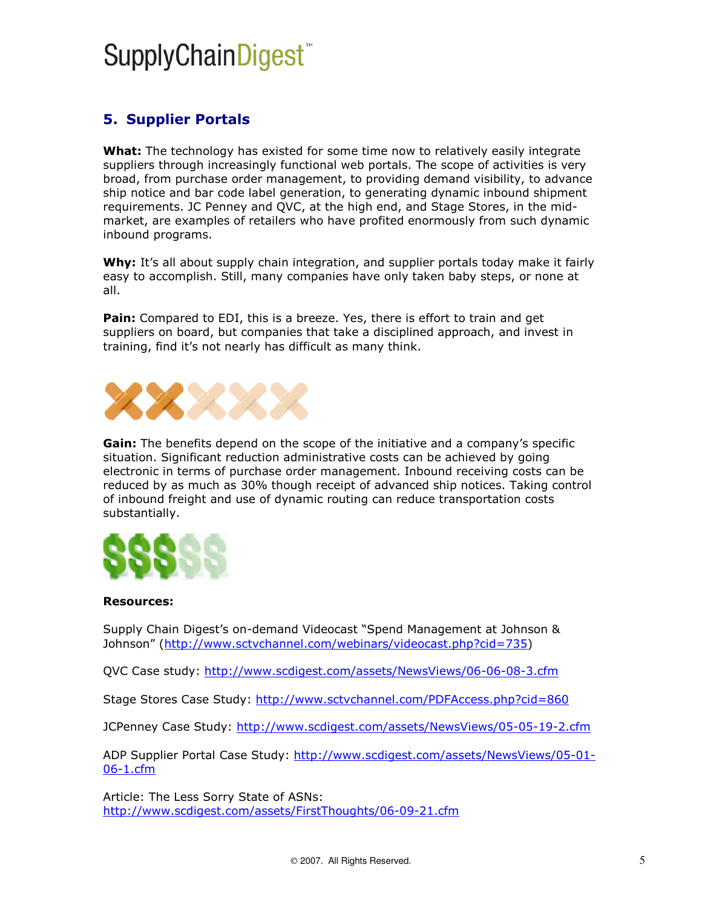### 5. Supplier Portals

What: The technology has existed for some time now to relatively easily integrate suppliers through increasingly functional web portals. The scope of activities is very broad, from purchase order management, to providing demand visibility, to advance ship notice and bar code label generation, to generating dynamic inbound shipment requirements. JC Penney and QVC, at the high end, and Stage Stores, in the midmarket, are examples of retailers who have profited enormously from such dynamic inbound programs.

Why: It's all about supply chain integration, and supplier portals today make it fairly easy to accomplish. Still, many companies have only taken baby steps, or none at all.

**Pain:** Compared to EDI, this is a breeze. Yes, there is effort to train and get suppliers on board, but companies that take a disciplined approach, and invest in training, find it's not nearly has difficult as many think.



Gain: The benefits depend on the scope of the initiative and a company's specific situation. Significant reduction administrative costs can be achieved by going electronic in terms of purchase order management. Inbound receiving costs can be reduced by as much as 30% though receipt of advanced ship notices. Taking control of inbound freight and use of dynamic routing can reduce transportation costs substantially.



#### Resources:

Supply Chain Digest's on-demand Videocast "Spend Management at Johnson & Johnson" (http://www.sctvchannel.com/webinars/videocast.php?cid=735)

QVC Case study: http://www.scdigest.com/assets/NewsViews/06-06-08-3.cfm

Stage Stores Case Study: http://www.sctvchannel.com/PDFAccess.php?cid=860

JCPenney Case Study: http://www.scdigest.com/assets/NewsViews/05-05-19-2.cfm

ADP Supplier Portal Case Study: http://www.scdigest.com/assets/NewsViews/05-01- 06-1.cfm

Article: The Less Sorry State of ASNs: http://www.scdigest.com/assets/FirstThoughts/06-09-21.cfm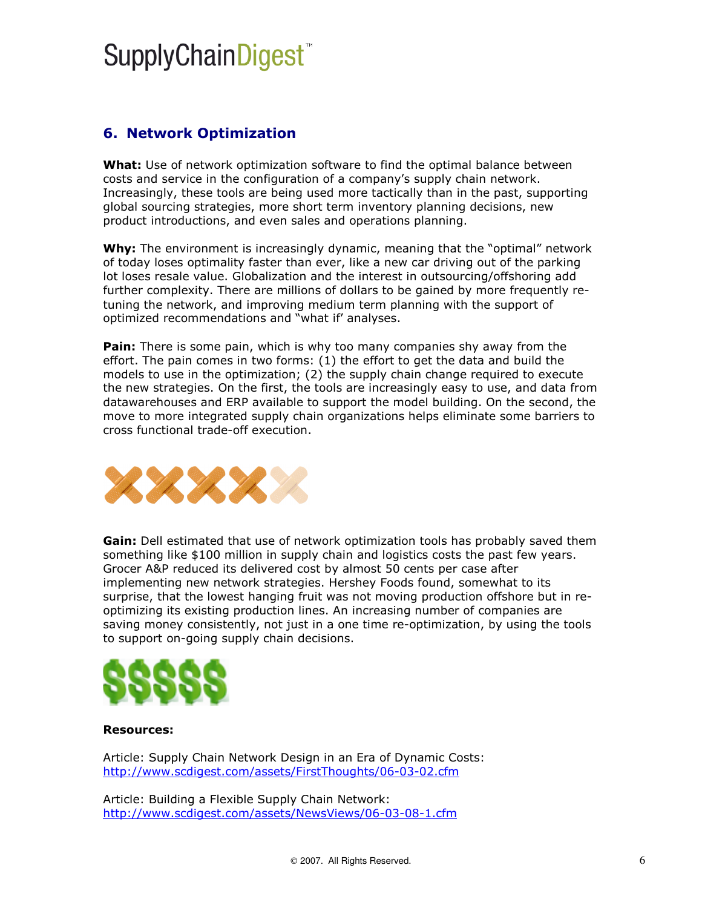### 6. Network Optimization

What: Use of network optimization software to find the optimal balance between costs and service in the configuration of a company's supply chain network. Increasingly, these tools are being used more tactically than in the past, supporting global sourcing strategies, more short term inventory planning decisions, new product introductions, and even sales and operations planning.

Why: The environment is increasingly dynamic, meaning that the "optimal" network of today loses optimality faster than ever, like a new car driving out of the parking lot loses resale value. Globalization and the interest in outsourcing/offshoring add further complexity. There are millions of dollars to be gained by more frequently retuning the network, and improving medium term planning with the support of optimized recommendations and "what if' analyses.

Pain: There is some pain, which is why too many companies shy away from the effort. The pain comes in two forms: (1) the effort to get the data and build the models to use in the optimization; (2) the supply chain change required to execute the new strategies. On the first, the tools are increasingly easy to use, and data from datawarehouses and ERP available to support the model building. On the second, the move to more integrated supply chain organizations helps eliminate some barriers to cross functional trade-off execution.



Gain: Dell estimated that use of network optimization tools has probably saved them something like \$100 million in supply chain and logistics costs the past few years. Grocer A&P reduced its delivered cost by almost 50 cents per case after implementing new network strategies. Hershey Foods found, somewhat to its surprise, that the lowest hanging fruit was not moving production offshore but in reoptimizing its existing production lines. An increasing number of companies are saving money consistently, not just in a one time re-optimization, by using the tools to support on-going supply chain decisions.



#### Resources:

Article: Supply Chain Network Design in an Era of Dynamic Costs: http://www.scdigest.com/assets/FirstThoughts/06-03-02.cfm

Article: Building a Flexible Supply Chain Network: http://www.scdigest.com/assets/NewsViews/06-03-08-1.cfm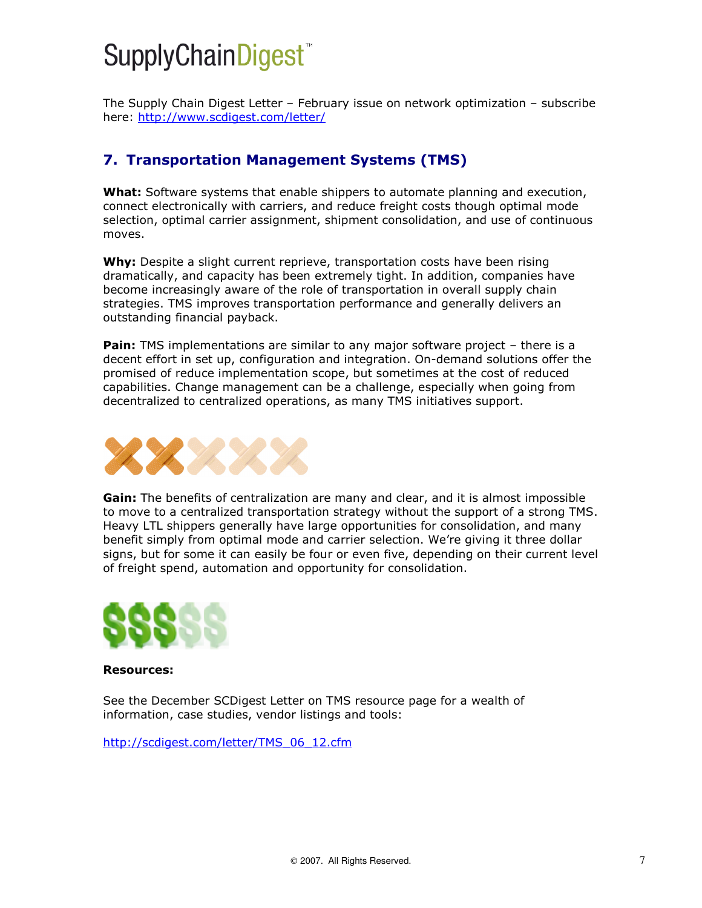The Supply Chain Digest Letter – February issue on network optimization – subscribe here: http://www.scdigest.com/letter/

### 7. Transportation Management Systems (TMS)

What: Software systems that enable shippers to automate planning and execution, connect electronically with carriers, and reduce freight costs though optimal mode selection, optimal carrier assignment, shipment consolidation, and use of continuous moves.

Why: Despite a slight current reprieve, transportation costs have been rising dramatically, and capacity has been extremely tight. In addition, companies have become increasingly aware of the role of transportation in overall supply chain strategies. TMS improves transportation performance and generally delivers an outstanding financial payback.

**Pain:** TMS implementations are similar to any major software project – there is a decent effort in set up, configuration and integration. On-demand solutions offer the promised of reduce implementation scope, but sometimes at the cost of reduced capabilities. Change management can be a challenge, especially when going from decentralized to centralized operations, as many TMS initiatives support.



Gain: The benefits of centralization are many and clear, and it is almost impossible to move to a centralized transportation strategy without the support of a strong TMS. Heavy LTL shippers generally have large opportunities for consolidation, and many benefit simply from optimal mode and carrier selection. We're giving it three dollar signs, but for some it can easily be four or even five, depending on their current level of freight spend, automation and opportunity for consolidation.



#### Resources:

See the December SCDigest Letter on TMS resource page for a wealth of information, case studies, vendor listings and tools:

http://scdigest.com/letter/TMS\_06\_12.cfm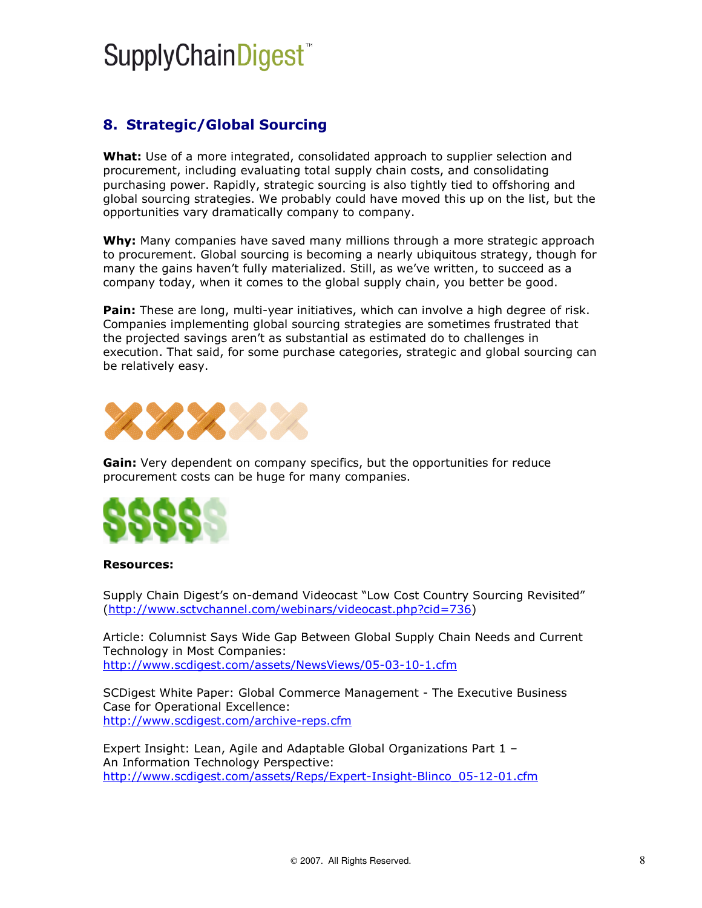### 8. Strategic/Global Sourcing

What: Use of a more integrated, consolidated approach to supplier selection and procurement, including evaluating total supply chain costs, and consolidating purchasing power. Rapidly, strategic sourcing is also tightly tied to offshoring and global sourcing strategies. We probably could have moved this up on the list, but the opportunities vary dramatically company to company.

Why: Many companies have saved many millions through a more strategic approach to procurement. Global sourcing is becoming a nearly ubiquitous strategy, though for many the gains haven't fully materialized. Still, as we've written, to succeed as a company today, when it comes to the global supply chain, you better be good.

Pain: These are long, multi-year initiatives, which can involve a high degree of risk. Companies implementing global sourcing strategies are sometimes frustrated that the projected savings aren't as substantial as estimated do to challenges in execution. That said, for some purchase categories, strategic and global sourcing can be relatively easy.



Gain: Very dependent on company specifics, but the opportunities for reduce procurement costs can be huge for many companies.



#### Resources:

Supply Chain Digest's on-demand Videocast "Low Cost Country Sourcing Revisited" (http://www.sctvchannel.com/webinars/videocast.php?cid=736)

Article: Columnist Says Wide Gap Between Global Supply Chain Needs and Current Technology in Most Companies: http://www.scdigest.com/assets/NewsViews/05-03-10-1.cfm

SCDigest White Paper: Global Commerce Management - The Executive Business Case for Operational Excellence: http://www.scdigest.com/archive-reps.cfm

Expert Insight: Lean, Agile and Adaptable Global Organizations Part 1 – An Information Technology Perspective: http://www.scdigest.com/assets/Reps/Expert-Insight-Blinco\_05-12-01.cfm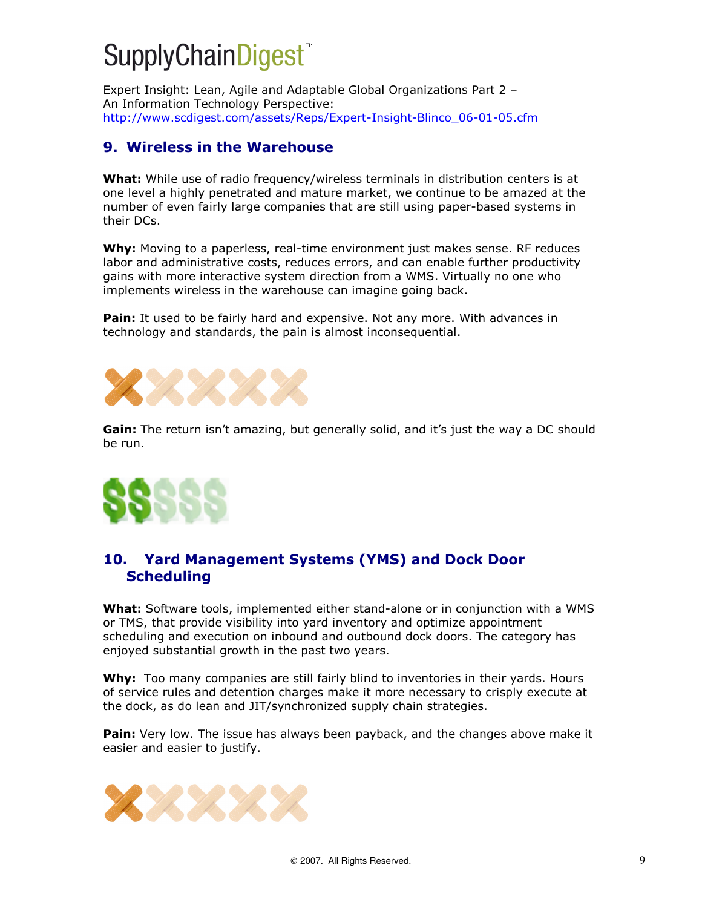Expert Insight: Lean, Agile and Adaptable Global Organizations Part 2 – An Information Technology Perspective: http://www.scdigest.com/assets/Reps/Expert-Insight-Blinco\_06-01-05.cfm

### 9. Wireless in the Warehouse

What: While use of radio frequency/wireless terminals in distribution centers is at one level a highly penetrated and mature market, we continue to be amazed at the number of even fairly large companies that are still using paper-based systems in their DCs.

Why: Moving to a paperless, real-time environment just makes sense. RF reduces labor and administrative costs, reduces errors, and can enable further productivity gains with more interactive system direction from a WMS. Virtually no one who implements wireless in the warehouse can imagine going back.

**Pain:** It used to be fairly hard and expensive. Not any more. With advances in technology and standards, the pain is almost inconsequential.



Gain: The return isn't amazing, but generally solid, and it's just the way a DC should be run.



### 10. Yard Management Systems (YMS) and Dock Door **Scheduling**

What: Software tools, implemented either stand-alone or in conjunction with a WMS or TMS, that provide visibility into yard inventory and optimize appointment scheduling and execution on inbound and outbound dock doors. The category has enjoyed substantial growth in the past two years.

Why: Too many companies are still fairly blind to inventories in their yards. Hours of service rules and detention charges make it more necessary to crisply execute at the dock, as do lean and JIT/synchronized supply chain strategies.

Pain: Very low. The issue has always been payback, and the changes above make it easier and easier to justify.